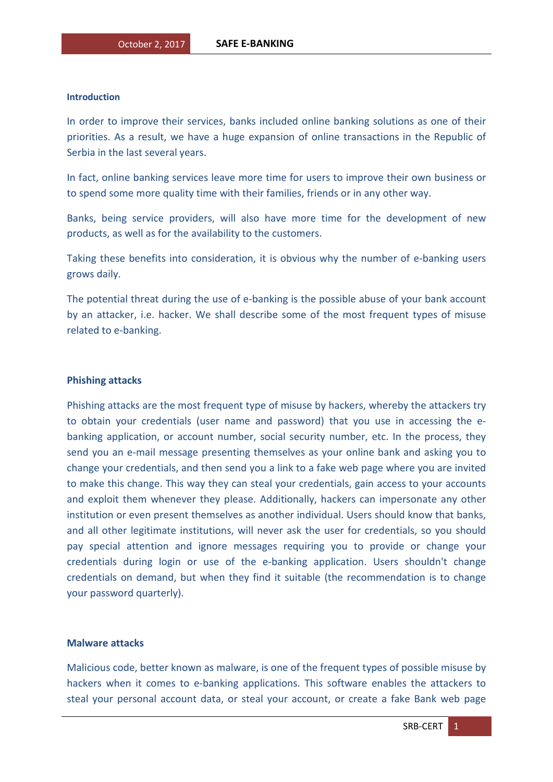## **Introduction**

In order to improve their services, banks included online banking solutions as one of their priorities. As a result, we have a huge expansion of online transactions in the Republic of Serbia in the last several years.

In fact, online banking services leave more time for users to improve their own business or to spend some more quality time with their families, friends or in any other way.

Banks, being service providers, will also have more time for the development of new products, as well as for the availability to the customers.

Taking these benefits into consideration, it is obvious why the number of e-banking users grows daily.

The potential threat during the use of e-banking is the possible abuse of your bank account by an attacker, i.e. hacker. We shall describe some of the most frequent types of misuse related to e-banking.

## **Phishing attacks**

Phishing attacks are the most frequent type of misuse by hackers, whereby the attackers try to obtain your credentials (user name and password) that you use in accessing the ebanking application, or account number, social security number, etc. In the process, they send you an e-mail message presenting themselves as your online bank and asking you to change your credentials, and then send you a link to a fake web page where you are invited to make this change. This way they can steal your credentials, gain access to your accounts and exploit them whenever they please. Additionally, hackers can impersonate any other institution or even present themselves as another individual. Users should know that banks, and all other legitimate institutions, will never ask the user for credentials, so you should pay special attention and ignore messages requiring you to provide or change your credentials during login or use of the e-banking application. Users shouldn't change credentials on demand, but when they find it suitable (the recommendation is to change your password quarterly).

## **Malware attacks**

Malicious code, better known as malware, is one of the frequent types of possible misuse by hackers when it comes to e-banking applications. This software enables the attackers to steal your personal account data, or steal your account, or create a fake Bank web page